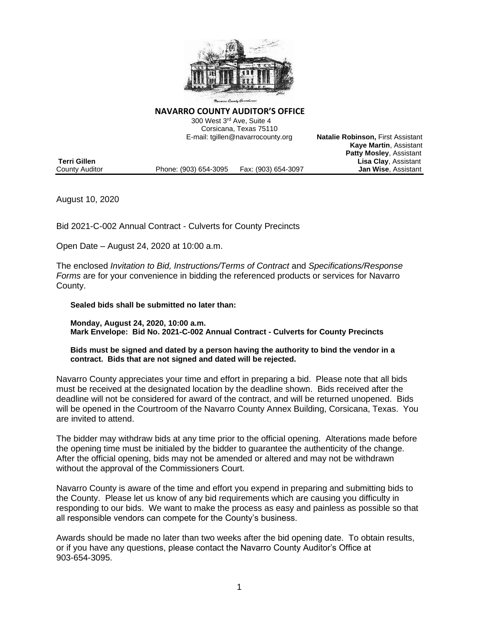

#### **NAVARRO COUNTY AUDITOR'S OFFICE**

 300 West 3rd Ave, Suite 4 Corsicana, Texas 75110 E-mail: tgillen@navarrocounty.org **Natalie Robinson,** First Assistant

|                |                       |                     | <b>Kaye Martin, Assistant</b>  |
|----------------|-----------------------|---------------------|--------------------------------|
|                |                       |                     | <b>Patty Mosley, Assistant</b> |
| Terri Gillen   |                       |                     | <b>Lisa Clay, Assistant</b>    |
| County Auditor | Phone: (903) 654-3095 | Fax: (903) 654-3097 | <b>Jan Wise, Assistant</b>     |

August 10, 2020

Bid 2021-C-002 Annual Contract - Culverts for County Precincts

Open Date – August 24, 2020 at 10:00 a.m.

The enclosed *Invitation to Bid, Instructions/Terms of Contract* and *Specifications/Response Forms* are for your convenience in bidding the referenced products or services for Navarro County.

#### **Sealed bids shall be submitted no later than:**

**Monday, August 24, 2020, 10:00 a.m. Mark Envelope: Bid No. 2021-C-002 Annual Contract - Culverts for County Precincts**

#### **Bids must be signed and dated by a person having the authority to bind the vendor in a contract. Bids that are not signed and dated will be rejected.**

Navarro County appreciates your time and effort in preparing a bid. Please note that all bids must be received at the designated location by the deadline shown. Bids received after the deadline will not be considered for award of the contract, and will be returned unopened. Bids will be opened in the Courtroom of the Navarro County Annex Building, Corsicana, Texas. You are invited to attend.

The bidder may withdraw bids at any time prior to the official opening. Alterations made before the opening time must be initialed by the bidder to guarantee the authenticity of the change. After the official opening, bids may not be amended or altered and may not be withdrawn without the approval of the Commissioners Court.

Navarro County is aware of the time and effort you expend in preparing and submitting bids to the County. Please let us know of any bid requirements which are causing you difficulty in responding to our bids. We want to make the process as easy and painless as possible so that all responsible vendors can compete for the County's business.

Awards should be made no later than two weeks after the bid opening date. To obtain results, or if you have any questions, please contact the Navarro County Auditor's Office at 903-654-3095.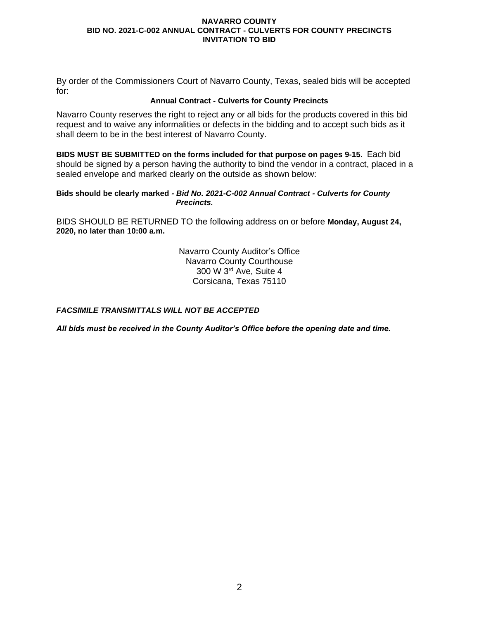By order of the Commissioners Court of Navarro County, Texas, sealed bids will be accepted for:

## **Annual Contract - Culverts for County Precincts**

Navarro County reserves the right to reject any or all bids for the products covered in this bid request and to waive any informalities or defects in the bidding and to accept such bids as it shall deem to be in the best interest of Navarro County.

**BIDS MUST BE SUBMITTED on the forms included for that purpose on pages 9-15**. Each bid should be signed by a person having the authority to bind the vendor in a contract, placed in a sealed envelope and marked clearly on the outside as shown below:

#### **Bids should be clearly marked** *- Bid No. 2021-C-002 Annual Contract - Culverts for County Precincts.*

BIDS SHOULD BE RETURNED TO the following address on or before **Monday, August 24, 2020, no later than 10:00 a.m.**

> Navarro County Auditor's Office Navarro County Courthouse 300 W 3rd Ave, Suite 4 Corsicana, Texas 75110

## *FACSIMILE TRANSMITTALS WILL NOT BE ACCEPTED*

*All bids must be received in the County Auditor's Office before the opening date and time.*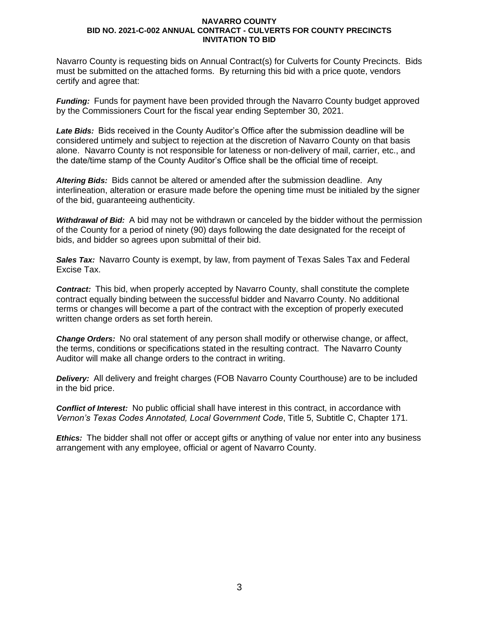Navarro County is requesting bids on Annual Contract(s) for Culverts for County Precincts. Bids must be submitted on the attached forms. By returning this bid with a price quote, vendors certify and agree that:

*Funding:* Funds for payment have been provided through the Navarro County budget approved by the Commissioners Court for the fiscal year ending September 30, 2021.

*Late Bids:* Bids received in the County Auditor's Office after the submission deadline will be considered untimely and subject to rejection at the discretion of Navarro County on that basis alone. Navarro County is not responsible for lateness or non-delivery of mail, carrier, etc., and the date/time stamp of the County Auditor's Office shall be the official time of receipt.

*Altering Bids:* Bids cannot be altered or amended after the submission deadline. Any interlineation, alteration or erasure made before the opening time must be initialed by the signer of the bid, guaranteeing authenticity.

*Withdrawal of Bid:* A bid may not be withdrawn or canceled by the bidder without the permission of the County for a period of ninety (90) days following the date designated for the receipt of bids, and bidder so agrees upon submittal of their bid.

**Sales Tax:** Navarro County is exempt, by law, from payment of Texas Sales Tax and Federal Excise Tax.

*Contract:* This bid, when properly accepted by Navarro County, shall constitute the complete contract equally binding between the successful bidder and Navarro County. No additional terms or changes will become a part of the contract with the exception of properly executed written change orders as set forth herein.

*Change Orders:* No oral statement of any person shall modify or otherwise change, or affect, the terms, conditions or specifications stated in the resulting contract. The Navarro County Auditor will make all change orders to the contract in writing.

*Delivery:* All delivery and freight charges (FOB Navarro County Courthouse) are to be included in the bid price.

*Conflict of Interest:* No public official shall have interest in this contract, in accordance with *Vernon's Texas Codes Annotated, Local Government Code*, Title 5, Subtitle C, Chapter 171.

*Ethics:* The bidder shall not offer or accept gifts or anything of value nor enter into any business arrangement with any employee, official or agent of Navarro County.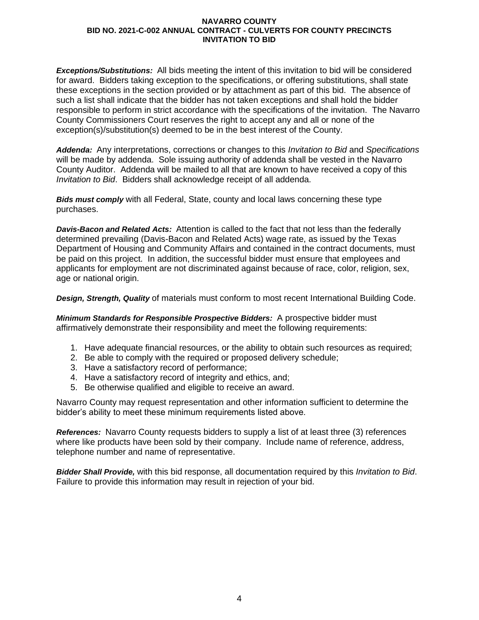*Exceptions/Substitutions:* All bids meeting the intent of this invitation to bid will be considered for award. Bidders taking exception to the specifications, or offering substitutions, shall state these exceptions in the section provided or by attachment as part of this bid. The absence of such a list shall indicate that the bidder has not taken exceptions and shall hold the bidder responsible to perform in strict accordance with the specifications of the invitation. The Navarro County Commissioners Court reserves the right to accept any and all or none of the exception(s)/substitution(s) deemed to be in the best interest of the County.

*Addenda:* Any interpretations, corrections or changes to this *Invitation to Bid* and *Specifications* will be made by addenda. Sole issuing authority of addenda shall be vested in the Navarro County Auditor. Addenda will be mailed to all that are known to have received a copy of this *Invitation to Bid*. Bidders shall acknowledge receipt of all addenda.

*Bids must comply* with all Federal, State, county and local laws concerning these type purchases.

*Davis-Bacon and Related Acts:* Attention is called to the fact that not less than the federally determined prevailing (Davis-Bacon and Related Acts) wage rate, as issued by the Texas Department of Housing and Community Affairs and contained in the contract documents, must be paid on this project. In addition, the successful bidder must ensure that employees and applicants for employment are not discriminated against because of race, color, religion, sex, age or national origin.

*Design, Strength, Quality* of materials must conform to most recent International Building Code.

*Minimum Standards for Responsible Prospective Bidders:* A prospective bidder must affirmatively demonstrate their responsibility and meet the following requirements:

- 1. Have adequate financial resources, or the ability to obtain such resources as required;
- 2. Be able to comply with the required or proposed delivery schedule;
- 3. Have a satisfactory record of performance;
- 4. Have a satisfactory record of integrity and ethics, and;
- 5. Be otherwise qualified and eligible to receive an award.

Navarro County may request representation and other information sufficient to determine the bidder's ability to meet these minimum requirements listed above.

*References:* Navarro County requests bidders to supply a list of at least three (3) references where like products have been sold by their company. Include name of reference, address, telephone number and name of representative.

*Bidder Shall Provide,* with this bid response, all documentation required by this *Invitation to Bid*. Failure to provide this information may result in rejection of your bid.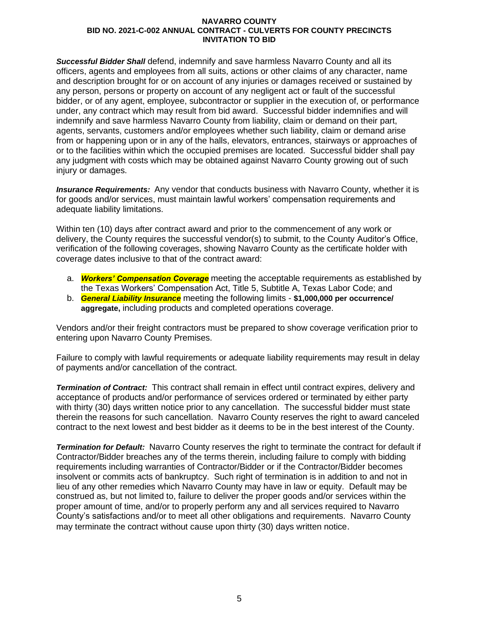*Successful Bidder Shall* defend, indemnify and save harmless Navarro County and all its officers, agents and employees from all suits, actions or other claims of any character, name and description brought for or on account of any injuries or damages received or sustained by any person, persons or property on account of any negligent act or fault of the successful bidder, or of any agent, employee, subcontractor or supplier in the execution of, or performance under, any contract which may result from bid award. Successful bidder indemnifies and will indemnify and save harmless Navarro County from liability, claim or demand on their part, agents, servants, customers and/or employees whether such liability, claim or demand arise from or happening upon or in any of the halls, elevators, entrances, stairways or approaches of or to the facilities within which the occupied premises are located. Successful bidder shall pay any judgment with costs which may be obtained against Navarro County growing out of such injury or damages.

*Insurance Requirements:* Any vendor that conducts business with Navarro County, whether it is for goods and/or services, must maintain lawful workers' compensation requirements and adequate liability limitations.

Within ten (10) days after contract award and prior to the commencement of any work or delivery, the County requires the successful vendor(s) to submit, to the County Auditor's Office, verification of the following coverages, showing Navarro County as the certificate holder with coverage dates inclusive to that of the contract award:

- a. *Workers' Compensation Coverage* meeting the acceptable requirements as established by the Texas Workers' Compensation Act, Title 5, Subtitle A, Texas Labor Code; and
- b. *General Liability Insurance* meeting the following limits **\$1,000,000 per occurrence/ aggregate,** including products and completed operations coverage.

Vendors and/or their freight contractors must be prepared to show coverage verification prior to entering upon Navarro County Premises.

Failure to comply with lawful requirements or adequate liability requirements may result in delay of payments and/or cancellation of the contract.

*Termination of Contract:* This contract shall remain in effect until contract expires, delivery and acceptance of products and/or performance of services ordered or terminated by either party with thirty (30) days written notice prior to any cancellation. The successful bidder must state therein the reasons for such cancellation. Navarro County reserves the right to award canceled contract to the next lowest and best bidder as it deems to be in the best interest of the County.

*Termination for Default:* Navarro County reserves the right to terminate the contract for default if Contractor/Bidder breaches any of the terms therein, including failure to comply with bidding requirements including warranties of Contractor/Bidder or if the Contractor/Bidder becomes insolvent or commits acts of bankruptcy. Such right of termination is in addition to and not in lieu of any other remedies which Navarro County may have in law or equity. Default may be construed as, but not limited to, failure to deliver the proper goods and/or services within the proper amount of time, and/or to properly perform any and all services required to Navarro County's satisfactions and/or to meet all other obligations and requirements. Navarro County may terminate the contract without cause upon thirty (30) days written notice.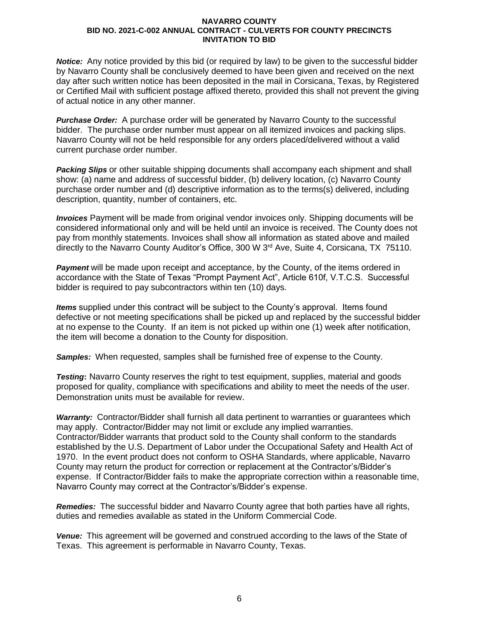*Notice:* Any notice provided by this bid (or required by law) to be given to the successful bidder by Navarro County shall be conclusively deemed to have been given and received on the next day after such written notice has been deposited in the mail in Corsicana, Texas, by Registered or Certified Mail with sufficient postage affixed thereto, provided this shall not prevent the giving of actual notice in any other manner.

*Purchase Order:* A purchase order will be generated by Navarro County to the successful bidder. The purchase order number must appear on all itemized invoices and packing slips. Navarro County will not be held responsible for any orders placed/delivered without a valid current purchase order number.

*Packing Slips* or other suitable shipping documents shall accompany each shipment and shall show: (a) name and address of successful bidder, (b) delivery location, (c) Navarro County purchase order number and (d) descriptive information as to the terms(s) delivered, including description, quantity, number of containers, etc.

*Invoices* Payment will be made from original vendor invoices only. Shipping documents will be considered informational only and will be held until an invoice is received. The County does not pay from monthly statements. Invoices shall show all information as stated above and mailed directly to the Navarro County Auditor's Office, 300 W 3<sup>rd</sup> Ave, Suite 4, Corsicana, TX 75110.

**Payment** will be made upon receipt and acceptance, by the County, of the items ordered in accordance with the State of Texas "Prompt Payment Act", Article 610f, V.T.C.S. Successful bidder is required to pay subcontractors within ten (10) days.

*Items* supplied under this contract will be subject to the County's approval. Items found defective or not meeting specifications shall be picked up and replaced by the successful bidder at no expense to the County. If an item is not picked up within one (1) week after notification, the item will become a donation to the County for disposition.

*Samples:* When requested, samples shall be furnished free of expense to the County.

*Testing***:** Navarro County reserves the right to test equipment, supplies, material and goods proposed for quality, compliance with specifications and ability to meet the needs of the user. Demonstration units must be available for review.

*Warranty:* Contractor/Bidder shall furnish all data pertinent to warranties or guarantees which may apply. Contractor/Bidder may not limit or exclude any implied warranties. Contractor/Bidder warrants that product sold to the County shall conform to the standards established by the U.S. Department of Labor under the Occupational Safety and Health Act of 1970. In the event product does not conform to OSHA Standards, where applicable, Navarro County may return the product for correction or replacement at the Contractor's/Bidder's expense. If Contractor/Bidder fails to make the appropriate correction within a reasonable time, Navarro County may correct at the Contractor's/Bidder's expense.

*Remedies:* The successful bidder and Navarro County agree that both parties have all rights, duties and remedies available as stated in the Uniform Commercial Code.

*Venue:* This agreement will be governed and construed according to the laws of the State of Texas. This agreement is performable in Navarro County, Texas.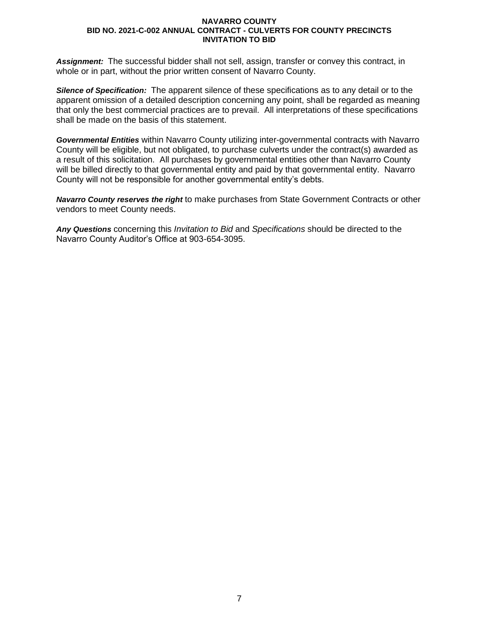*Assignment:* The successful bidder shall not sell, assign, transfer or convey this contract, in whole or in part, without the prior written consent of Navarro County.

*Silence of Specification:* The apparent silence of these specifications as to any detail or to the apparent omission of a detailed description concerning any point, shall be regarded as meaning that only the best commercial practices are to prevail. All interpretations of these specifications shall be made on the basis of this statement.

*Governmental Entities* within Navarro County utilizing inter-governmental contracts with Navarro County will be eligible, but not obligated, to purchase culverts under the contract(s) awarded as a result of this solicitation. All purchases by governmental entities other than Navarro County will be billed directly to that governmental entity and paid by that governmental entity. Navarro County will not be responsible for another governmental entity's debts.

*Navarro County reserves the right* to make purchases from State Government Contracts or other vendors to meet County needs.

*Any Questions* concerning this *Invitation to Bid* and *Specifications* should be directed to the Navarro County Auditor's Office at 903-654-3095.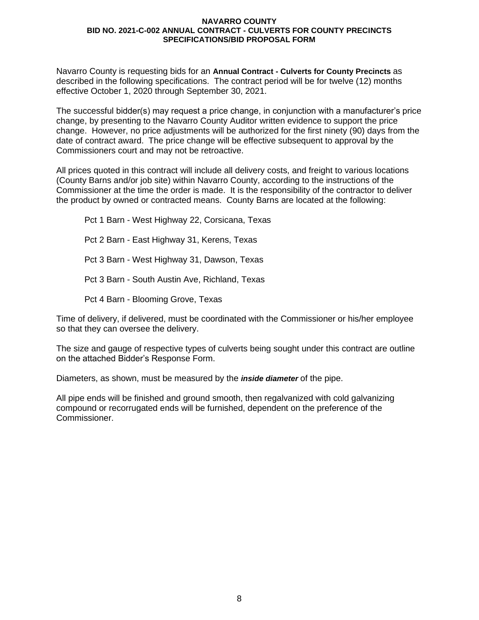Navarro County is requesting bids for an **Annual Contract - Culverts for County Precincts** as described in the following specifications. The contract period will be for twelve (12) months effective October 1, 2020 through September 30, 2021.

The successful bidder(s) may request a price change, in conjunction with a manufacturer's price change, by presenting to the Navarro County Auditor written evidence to support the price change. However, no price adjustments will be authorized for the first ninety (90) days from the date of contract award. The price change will be effective subsequent to approval by the Commissioners court and may not be retroactive.

All prices quoted in this contract will include all delivery costs, and freight to various locations (County Barns and/or job site) within Navarro County, according to the instructions of the Commissioner at the time the order is made. It is the responsibility of the contractor to deliver the product by owned or contracted means. County Barns are located at the following:

Pct 1 Barn - West Highway 22, Corsicana, Texas Pct 2 Barn - East Highway 31, Kerens, Texas Pct 3 Barn - West Highway 31, Dawson, Texas Pct 3 Barn - South Austin Ave, Richland, Texas Pct 4 Barn - Blooming Grove, Texas

Time of delivery, if delivered, must be coordinated with the Commissioner or his/her employee so that they can oversee the delivery.

The size and gauge of respective types of culverts being sought under this contract are outline on the attached Bidder's Response Form.

Diameters, as shown, must be measured by the *inside diameter* of the pipe.

All pipe ends will be finished and ground smooth, then regalvanized with cold galvanizing compound or recorrugated ends will be furnished, dependent on the preference of the Commissioner.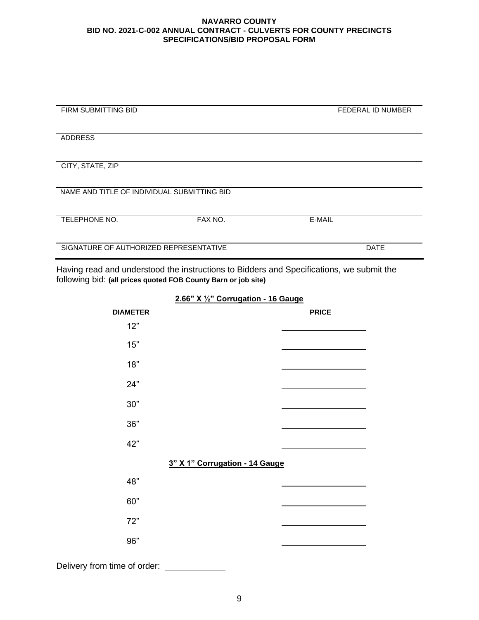| <b>FIRM SUBMITTING BID</b>                  |         | <b>FEDERAL ID NUMBER</b> |  |  |  |
|---------------------------------------------|---------|--------------------------|--|--|--|
|                                             |         |                          |  |  |  |
|                                             |         |                          |  |  |  |
|                                             |         |                          |  |  |  |
| <b>ADDRESS</b>                              |         |                          |  |  |  |
|                                             |         |                          |  |  |  |
|                                             |         |                          |  |  |  |
|                                             |         |                          |  |  |  |
| CITY, STATE, ZIP                            |         |                          |  |  |  |
|                                             |         |                          |  |  |  |
|                                             |         |                          |  |  |  |
|                                             |         |                          |  |  |  |
| NAME AND TITLE OF INDIVIDUAL SUBMITTING BID |         |                          |  |  |  |
|                                             |         |                          |  |  |  |
|                                             |         |                          |  |  |  |
|                                             |         |                          |  |  |  |
| TELEPHONE NO.                               | FAX NO. | E-MAIL                   |  |  |  |
|                                             |         |                          |  |  |  |
|                                             |         |                          |  |  |  |
|                                             |         |                          |  |  |  |
| SIGNATURE OF AUTHORIZED REPRESENTATIVE      |         | <b>DATE</b>              |  |  |  |
|                                             |         |                          |  |  |  |
|                                             |         |                          |  |  |  |

Having read and understood the instructions to Bidders and Specifications, we submit the following bid: **(all prices quoted FOB County Barn or job site)**

> **DIAMETER PRICE**  12" 15" 18" 24" 30" 36" 42" **3" X 1" Corrugation - 14 Gauge** 48" 60" 72" 96"

**2.66" X ½" Corrugation - 16 Gauge**

Delivery from time of order: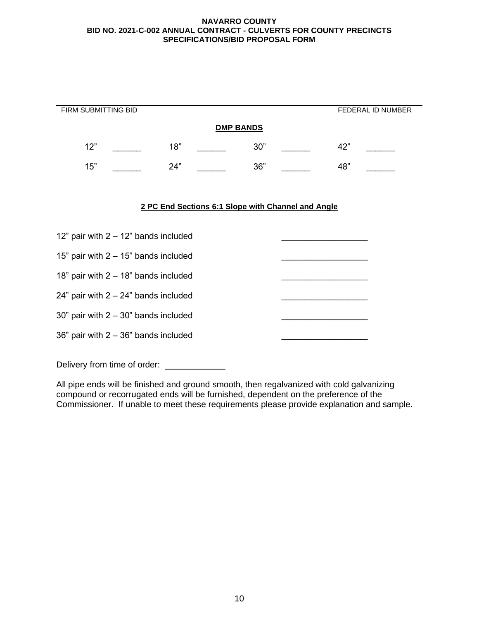| FIRM SUBMITTING BID                     |     |                                                    |     |  |     | <b>FEDERAL ID NUMBER</b> |
|-----------------------------------------|-----|----------------------------------------------------|-----|--|-----|--------------------------|
| <b>DMP BANDS</b>                        |     |                                                    |     |  |     |                          |
| 12"                                     | 18" |                                                    | 30" |  | 42" |                          |
| 15"                                     | 24" |                                                    | 36" |  | 48" |                          |
|                                         |     |                                                    |     |  |     |                          |
|                                         |     | 2 PC End Sections 6:1 Slope with Channel and Angle |     |  |     |                          |
|                                         |     |                                                    |     |  |     |                          |
| 12" pair with $2 - 12$ " bands included |     |                                                    |     |  |     |                          |
| 15" pair with $2 - 15$ " bands included |     |                                                    |     |  |     |                          |
| 18" pair with $2 - 18$ " bands included |     |                                                    |     |  |     |                          |
| 24" pair with $2 - 24$ " bands included |     |                                                    |     |  |     |                          |
| 30" pair with $2 - 30$ " bands included |     |                                                    |     |  |     |                          |
| 36" pair with $2 - 36$ " bands included |     |                                                    |     |  |     |                          |

Delivery from time of order: \_\_\_\_\_\_\_\_\_\_\_\_\_

All pipe ends will be finished and ground smooth, then regalvanized with cold galvanizing compound or recorrugated ends will be furnished, dependent on the preference of the Commissioner. If unable to meet these requirements please provide explanation and sample.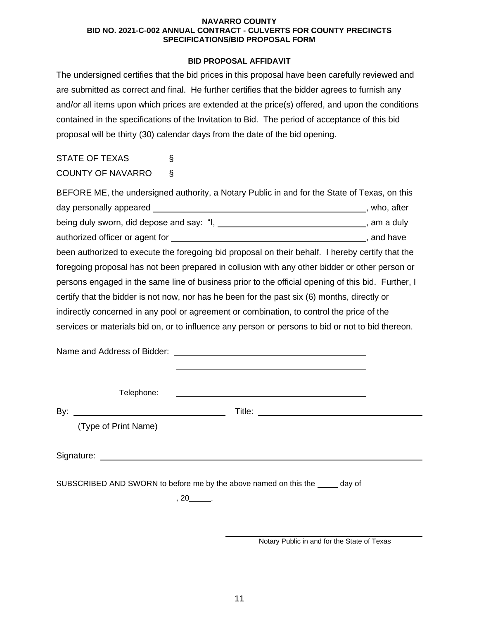## **BID PROPOSAL AFFIDAVIT**

The undersigned certifies that the bid prices in this proposal have been carefully reviewed and are submitted as correct and final. He further certifies that the bidder agrees to furnish any and/or all items upon which prices are extended at the price(s) offered, and upon the conditions contained in the specifications of the Invitation to Bid. The period of acceptance of this bid proposal will be thirty (30) calendar days from the date of the bid opening.

# STATE OF TEXAS § COUNTY OF NAVARRO §

| BEFORE ME, the undersigned authority, a Notary Public in and for the State of Texas, on this       |               |
|----------------------------------------------------------------------------------------------------|---------------|
|                                                                                                    | , who, after  |
| being duly sworn, did depose and say: "I, ______                                                   | __, am a duly |
|                                                                                                    | , and have    |
| been authorized to execute the foregoing bid proposal on their behalf. I hereby certify that the   |               |
| foregoing proposal has not been prepared in collusion with any other bidder or other person or     |               |
| persons engaged in the same line of business prior to the official opening of this bid. Further, I |               |
| certify that the bidder is not now, nor has he been for the past six (6) months, directly or       |               |
| indirectly concerned in any pool or agreement or combination, to control the price of the          |               |
| services or materials bid on, or to influence any person or persons to bid or not to bid thereon.  |               |

Name and Address of Bidder:

Telephone:

By: Title:

(Type of Print Name)

Signature:

SUBSCRIBED AND SWORN to before me by the above named on this the day of

 $\overline{\phantom{a}}$ , 20  $\overline{\phantom{a}}$ .

Notary Public in and for the State of Texas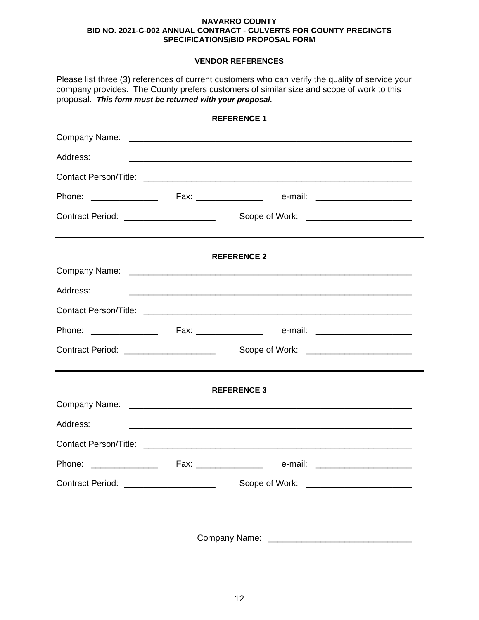# **VENDOR REFERENCES**

| proposal. This form must be returned with your proposal. |  | Please list three (3) references of current customers who can verify the quality of service your<br>company provides. The County prefers customers of similar size and scope of work to this |  |  |
|----------------------------------------------------------|--|----------------------------------------------------------------------------------------------------------------------------------------------------------------------------------------------|--|--|
|                                                          |  | <b>REFERENCE 1</b>                                                                                                                                                                           |  |  |
|                                                          |  |                                                                                                                                                                                              |  |  |
| Address:                                                 |  |                                                                                                                                                                                              |  |  |
|                                                          |  |                                                                                                                                                                                              |  |  |
|                                                          |  |                                                                                                                                                                                              |  |  |
| Contract Period: _____________________                   |  | Scope of Work: <u>_____________________</u>                                                                                                                                                  |  |  |
|                                                          |  | <b>REFERENCE 2</b>                                                                                                                                                                           |  |  |
|                                                          |  |                                                                                                                                                                                              |  |  |
| Address:                                                 |  | <u> 1989 - Johann Stoff, amerikansk politiker (d. 1989)</u>                                                                                                                                  |  |  |
|                                                          |  |                                                                                                                                                                                              |  |  |
|                                                          |  |                                                                                                                                                                                              |  |  |
| Contract Period: ____________________                    |  |                                                                                                                                                                                              |  |  |
|                                                          |  | <b>REFERENCE 3</b>                                                                                                                                                                           |  |  |
|                                                          |  |                                                                                                                                                                                              |  |  |
| Address:                                                 |  |                                                                                                                                                                                              |  |  |
|                                                          |  |                                                                                                                                                                                              |  |  |
|                                                          |  |                                                                                                                                                                                              |  |  |
| Contract Period: _____________________                   |  | Scope of Work: _________________________                                                                                                                                                     |  |  |
|                                                          |  |                                                                                                                                                                                              |  |  |

Company Name: \_\_\_\_\_\_\_\_\_\_\_\_\_\_\_\_\_\_\_\_\_\_\_\_\_\_\_\_\_\_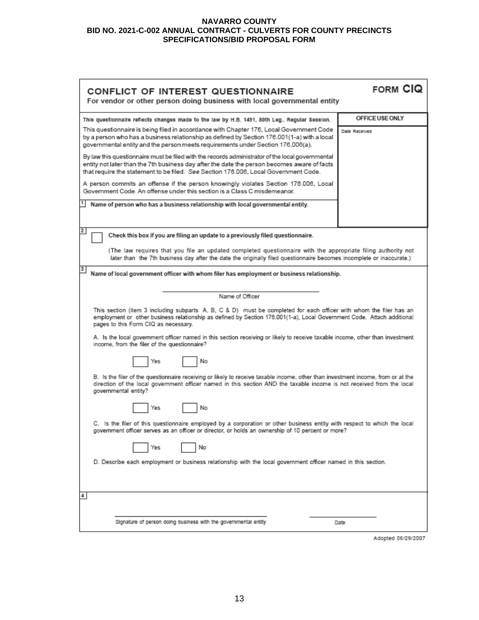| CONFLICT OF INTEREST QUESTIONNAIRE<br>For vendor or other person doing business with local governmental entity                                                                                                                                                                                                                                                                                                        | <b>FORM CIQ</b> |  |  |  |
|-----------------------------------------------------------------------------------------------------------------------------------------------------------------------------------------------------------------------------------------------------------------------------------------------------------------------------------------------------------------------------------------------------------------------|-----------------|--|--|--|
| This questionnaire reflects changes made to the law by H.B. 1491, 80th Leg., Regular Session.                                                                                                                                                                                                                                                                                                                         | OFFICE USE ONLY |  |  |  |
| This questionnaire is being filed in accordance with Chapter 176, Local Government Code<br>by a person who has a business relationship as defined by Section 176.001(1-a) with a local<br>governmental entity and the person meets requirements under Section 176.006(a).                                                                                                                                             | Date Received   |  |  |  |
| By law this questionnaire must be filed with the records administrator of the local governmental<br>entity not later than the 7th business day after the date the person becomes aware of facts<br>that require the statement to be filed. See Section 176.006, Local Government Code.                                                                                                                                |                 |  |  |  |
| A person commits an offense if the person knowingly violates Section 176.006, Local<br>Government Code. An offense under this section is a Class C misdemeanor.                                                                                                                                                                                                                                                       |                 |  |  |  |
| Name of person who has a business relationship with local governmental entity.                                                                                                                                                                                                                                                                                                                                        |                 |  |  |  |
| $\overline{2}$<br>Check this box if you are filing an update to a previously filed questionnaire.                                                                                                                                                                                                                                                                                                                     |                 |  |  |  |
| (The law requires that you file an updated completed questionnaire with the appropriate filing authority not<br>later than the 7th business day after the date the originally filed questionnaire becomes incomplete or inaccurate.)                                                                                                                                                                                  |                 |  |  |  |
| з<br>Name of local government officer with whom filer has employment or business relationship.                                                                                                                                                                                                                                                                                                                        |                 |  |  |  |
| Name of Officer                                                                                                                                                                                                                                                                                                                                                                                                       |                 |  |  |  |
| This section (item 3 including subparts A, B, C & D) must be completed for each officer with whom the filer has an<br>employment or other business relationship as defined by Section 176.001(1-a), Local Government Code. Attach additional<br>pages to this Form CIQ as necessary.<br>A. Is the local government officer named in this section receiving or likely to receive taxable income, other than investment |                 |  |  |  |
| income, from the filer of the questionnaire?<br>No<br>Yes                                                                                                                                                                                                                                                                                                                                                             |                 |  |  |  |
| B. Is the filer of the questionnaire receiving or likely to receive taxable income, other than investment income, from or at the<br>direction of the local government officer named in this section AND the taxable income is not received from the local<br>governmental entity?                                                                                                                                     |                 |  |  |  |
| No<br>Yes                                                                                                                                                                                                                                                                                                                                                                                                             |                 |  |  |  |
| C. Is the filer of this questionnaire employed by a corporation or other business entity with respect to which the local<br>government officer serves as an officer or director, or holds an ownership of 10 percent or more?                                                                                                                                                                                         |                 |  |  |  |
| No<br>Yes                                                                                                                                                                                                                                                                                                                                                                                                             |                 |  |  |  |
| D. Describe each employment or business relationship with the local government officer named in this section.                                                                                                                                                                                                                                                                                                         |                 |  |  |  |
| 4                                                                                                                                                                                                                                                                                                                                                                                                                     |                 |  |  |  |
| Signature of person doing business with the governmental entity                                                                                                                                                                                                                                                                                                                                                       | Date            |  |  |  |

Adopted 06/29/2007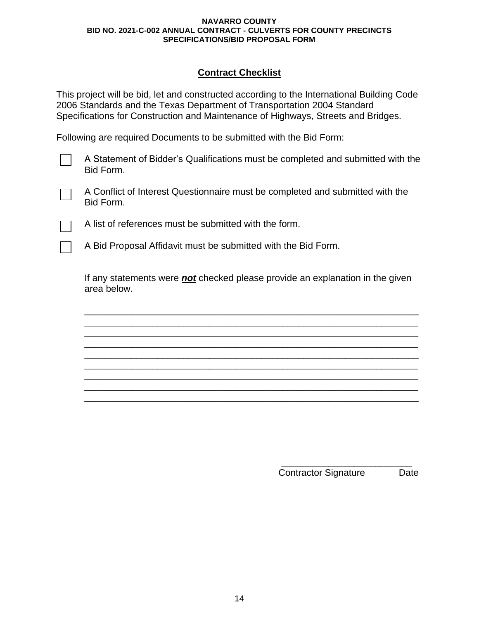# **Contract Checklist**

This project will be bid, let and constructed according to the International Building Code 2006 Standards and the Texas Department of Transportation 2004 Standard Specifications for Construction and Maintenance of Highways, Streets and Bridges.

Following are required Documents to be submitted with the Bid Form:

A Statement of Bidder's Qualifications must be completed and submitted with the Bid Form.

A Conflict of Interest Questionnaire must be completed and submitted with the Bid Form.

A list of references must be submitted with the form.

A Bid Proposal Affidavit must be submitted with the Bid Form.

If any statements were *not* checked please provide an explanation in the given area below.

\_\_\_\_\_\_\_\_\_\_\_\_\_\_\_\_\_\_\_\_\_\_\_\_\_\_\_\_\_\_\_\_\_\_\_\_\_\_\_\_\_\_\_\_\_\_\_\_\_\_\_\_\_\_\_\_\_\_\_\_\_\_\_\_ \_\_\_\_\_\_\_\_\_\_\_\_\_\_\_\_\_\_\_\_\_\_\_\_\_\_\_\_\_\_\_\_\_\_\_\_\_\_\_\_\_\_\_\_\_\_\_\_\_\_\_\_\_\_\_\_\_\_\_\_\_\_\_\_ \_\_\_\_\_\_\_\_\_\_\_\_\_\_\_\_\_\_\_\_\_\_\_\_\_\_\_\_\_\_\_\_\_\_\_\_\_\_\_\_\_\_\_\_\_\_\_\_\_\_\_\_\_\_\_\_\_\_\_\_\_\_\_\_ \_\_\_\_\_\_\_\_\_\_\_\_\_\_\_\_\_\_\_\_\_\_\_\_\_\_\_\_\_\_\_\_\_\_\_\_\_\_\_\_\_\_\_\_\_\_\_\_\_\_\_\_\_\_\_\_\_\_\_\_\_\_\_\_ \_\_\_\_\_\_\_\_\_\_\_\_\_\_\_\_\_\_\_\_\_\_\_\_\_\_\_\_\_\_\_\_\_\_\_\_\_\_\_\_\_\_\_\_\_\_\_\_\_\_\_\_\_\_\_\_\_\_\_\_\_\_\_\_ \_\_\_\_\_\_\_\_\_\_\_\_\_\_\_\_\_\_\_\_\_\_\_\_\_\_\_\_\_\_\_\_\_\_\_\_\_\_\_\_\_\_\_\_\_\_\_\_\_\_\_\_\_\_\_\_\_\_\_\_\_\_\_\_ \_\_\_\_\_\_\_\_\_\_\_\_\_\_\_\_\_\_\_\_\_\_\_\_\_\_\_\_\_\_\_\_\_\_\_\_\_\_\_\_\_\_\_\_\_\_\_\_\_\_\_\_\_\_\_\_\_\_\_\_\_\_\_\_ \_\_\_\_\_\_\_\_\_\_\_\_\_\_\_\_\_\_\_\_\_\_\_\_\_\_\_\_\_\_\_\_\_\_\_\_\_\_\_\_\_\_\_\_\_\_\_\_\_\_\_\_\_\_\_\_\_\_\_\_\_\_\_\_ \_\_\_\_\_\_\_\_\_\_\_\_\_\_\_\_\_\_\_\_\_\_\_\_\_\_\_\_\_\_\_\_\_\_\_\_\_\_\_\_\_\_\_\_\_\_\_\_\_\_\_\_\_\_\_\_\_\_\_\_\_\_\_\_

> \_\_\_\_\_\_\_\_\_\_\_\_\_\_\_\_\_\_\_\_\_\_\_\_\_ Contractor Signature Date